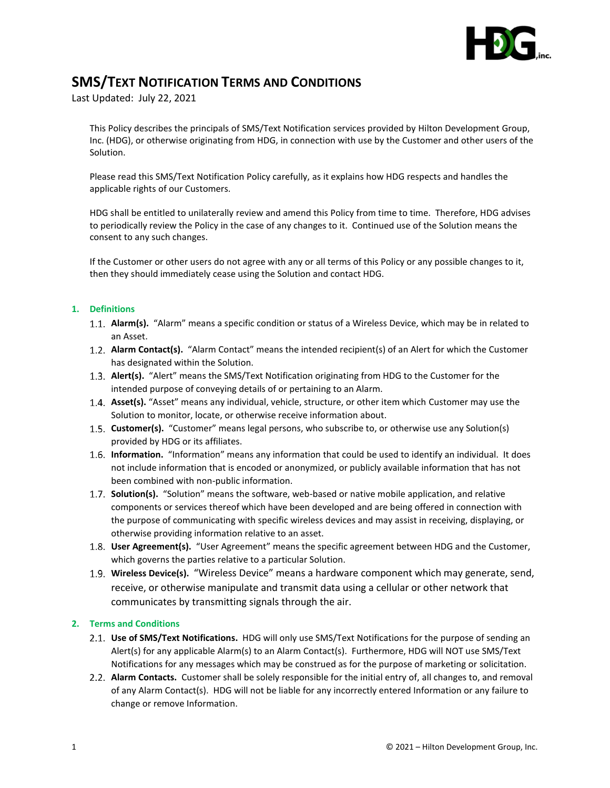

## **SMS/TEXT NOTIFICATION TERMS AND CONDITIONS**

Last Updated: July 22, 2021

This Policy describes the principals of SMS/Text Notification services provided by Hilton Development Group, Inc. (HDG), or otherwise originating from HDG, in connection with use by the Customer and other users of the Solution.

Please read this SMS/Text Notification Policy carefully, as it explains how HDG respects and handles the applicable rights of our Customers.

HDG shall be entitled to unilaterally review and amend this Policy from time to time. Therefore, HDG advises to periodically review the Policy in the case of any changes to it. Continued use of the Solution means the consent to any such changes.

If the Customer or other users do not agree with any or all terms of this Policy or any possible changes to it, then they should immediately cease using the Solution and contact HDG.

## **1. Definitions**

- **Alarm(s).** "Alarm" means a specific condition or status of a Wireless Device, which may be in related to an Asset.
- **Alarm Contact(s).** "Alarm Contact" means the intended recipient(s) of an Alert for which the Customer has designated within the Solution.
- **Alert(s).** "Alert" means the SMS/Text Notification originating from HDG to the Customer for the intended purpose of conveying details of or pertaining to an Alarm.
- **Asset(s).** "Asset" means any individual, vehicle, structure, or other item which Customer may use the Solution to monitor, locate, or otherwise receive information about.
- **Customer(s).** "Customer" means legal persons, who subscribe to, or otherwise use any Solution(s) provided by HDG or its affiliates.
- **Information.** "Information" means any information that could be used to identify an individual. It does not include information that is encoded or anonymized, or publicly available information that has not been combined with non-public information.
- **Solution(s).** "Solution" means the software, web-based or native mobile application, and relative components or services thereof which have been developed and are being offered in connection with the purpose of communicating with specific wireless devices and may assist in receiving, displaying, or otherwise providing information relative to an asset.
- **User Agreement(s).** "User Agreement" means the specific agreement between HDG and the Customer, which governs the parties relative to a particular Solution.
- **Wireless Device(s).** "Wireless Device" means a hardware component which may generate, send, receive, or otherwise manipulate and transmit data using a cellular or other network that communicates by transmitting signals through the air.

## **2. Terms and Conditions**

- **Use of SMS/Text Notifications.** HDG will only use SMS/Text Notifications for the purpose of sending an Alert(s) for any applicable Alarm(s) to an Alarm Contact(s). Furthermore, HDG will NOT use SMS/Text Notifications for any messages which may be construed as for the purpose of marketing or solicitation.
- **Alarm Contacts.** Customer shall be solely responsible for the initial entry of, all changes to, and removal of any Alarm Contact(s). HDG will not be liable for any incorrectly entered Information or any failure to change or remove Information.